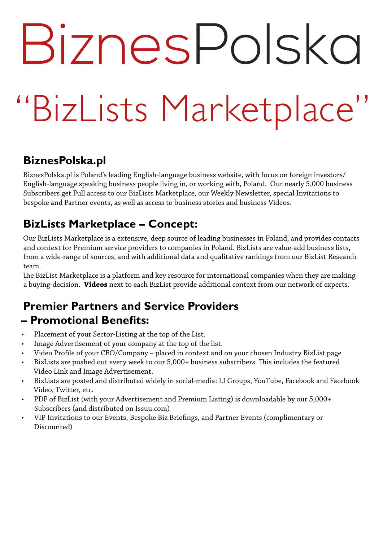## BiznesPolska

### "BizLists Marketplace"

#### **BiznesPolska.pl**

BiznesPolska.pl is Poland's leading English-language business website, with focus on foreign investors/ English-language speaking business people living in, or working with, Poland. Our nearly 5,000 business Subscribers get Full access to our BizLists Marketplace, our Weekly Newsletter, special Invitations to bespoke and Partner events, as well as access to business stories and business Videos.

#### **BizLists Marketplace – Concept:**

Our BizLists Marketplace is a extensive, deep source of leading businesses in Poland, and provides contacts and context for Premium service providers to companies in Poland. BizLists are value-add business lists, from a wide-range of sources, and with additional data and qualitative rankings from our BizList Research team.

The BizList Marketplace is a platform and key resource for international companies when they are making a buying-decision. **Videos** next to each BizList provide additional context from our network of experts.

#### **Premier Partners and Service Providers – Promotional Benefits:**

- Placement of your Sector-Listing at the top of the List.
- Image Advertisement of your company at the top of the list.
- Video Profile of your CEO/Company placed in context and on your chosen Industry BizList page
- BizLists are pushed out every week to our 5,000+ business subscribers. This includes the featured Video Link and Image Advertisement.
- BizLists are posted and distributed widely in social-media: LI Groups, YouTube, Facebook and Facebook Video, Twitter, etc.
- PDF of BizList (with your Advertisement and Premium Listing) is downloadable by our 5,000+ Subscribers (and distributed on Issuu.com)
- VIP Invitations to our Events, Bespoke Biz Briefings, and Partner Events (complimentary or Discounted)